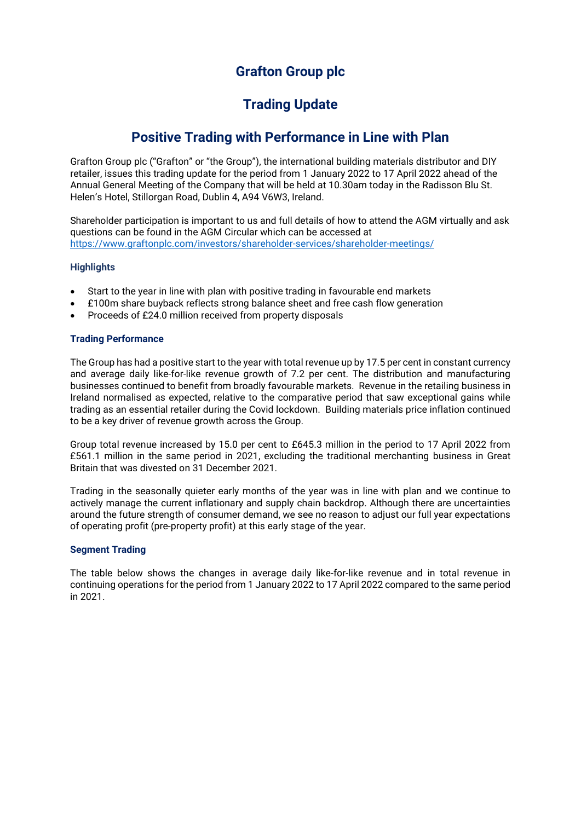## **Grafton Group plc**

# **Trading Update**

## **Positive Trading with Performance in Line with Plan**

Grafton Group plc ("Grafton" or "the Group"), the international building materials distributor and DIY retailer, issues this trading update for the period from 1 January 2022 to 17 April 2022 ahead of the Annual General Meeting of the Company that will be held at 10.30am today in the Radisson Blu St. Helen's Hotel, Stillorgan Road, Dublin 4, A94 V6W3, Ireland.

Shareholder participation is important to us and full details of how to attend the AGM virtually and ask questions can be found in the AGM Circular which can be accessed at <https://www.graftonplc.com/investors/shareholder-services/shareholder-meetings/>

## **Highlights**

- Start to the year in line with plan with positive trading in favourable end markets
- £100m share buyback reflects strong balance sheet and free cash flow generation
- Proceeds of £24.0 million received from property disposals

## **Trading Performance**

The Group has had a positive start to the year with total revenue up by 17.5 per cent in constant currency and average daily like-for-like revenue growth of 7.2 per cent. The distribution and manufacturing businesses continued to benefit from broadly favourable markets. Revenue in the retailing business in Ireland normalised as expected, relative to the comparative period that saw exceptional gains while trading as an essential retailer during the Covid lockdown. Building materials price inflation continued to be a key driver of revenue growth across the Group.

Group total revenue increased by 15.0 per cent to £645.3 million in the period to 17 April 2022 from £561.1 million in the same period in 2021, excluding the traditional merchanting business in Great Britain that was divested on 31 December 2021.

Trading in the seasonally quieter early months of the year was in line with plan and we continue to actively manage the current inflationary and supply chain backdrop. Although there are uncertainties around the future strength of consumer demand, we see no reason to adjust our full year expectations of operating profit (pre-property profit) at this early stage of the year.

## **Segment Trading**

The table below shows the changes in average daily like-for-like revenue and in total revenue in continuing operations for the period from 1 January 2022 to 17 April 2022 compared to the same period in 2021.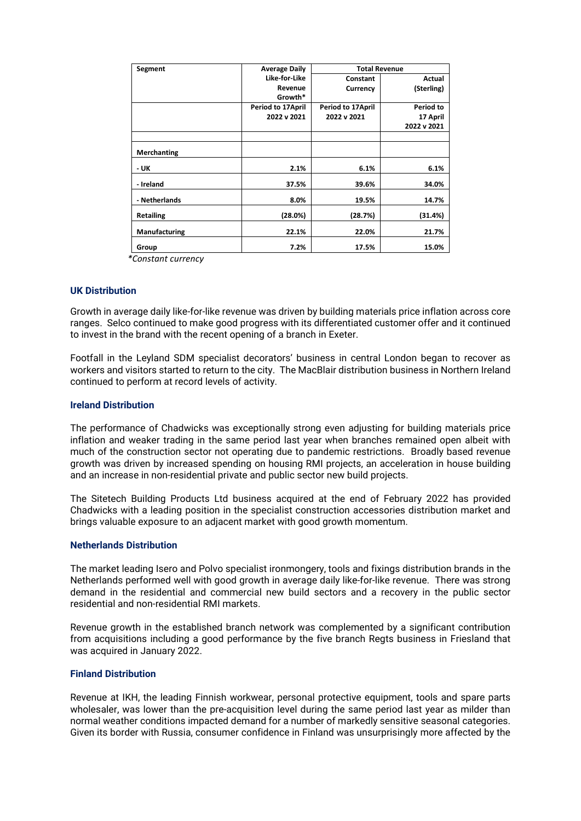| Segment          | <b>Average Daily</b> | <b>Total Revenue</b> |             |
|------------------|----------------------|----------------------|-------------|
|                  | Like-for-Like        | Constant             | Actual      |
|                  | Revenue              | Currency             | (Sterling)  |
|                  | Growth*              |                      |             |
|                  | Period to 17 April   | Period to 17April    | Period to   |
|                  | 2022 v 2021          | 2022 v 2021          | 17 April    |
|                  |                      |                      | 2022 v 2021 |
|                  |                      |                      |             |
| Merchanting      |                      |                      |             |
| - UK             | 2.1%                 | 6.1%                 | 6.1%        |
| - Ireland        | 37.5%                | 39.6%                | 34.0%       |
| - Netherlands    | 8.0%                 | 19.5%                | 14.7%       |
| <b>Retailing</b> | (28.0%)              | (28.7%)              | (31.4%)     |
| Manufacturing    | 22.1%                | 22.0%                | 21.7%       |
| Group            | 7.2%                 | 17.5%                | 15.0%       |

 *\*Constant currency*

#### **UK Distribution**

Growth in average daily like-for-like revenue was driven by building materials price inflation across core ranges. Selco continued to make good progress with its differentiated customer offer and it continued to invest in the brand with the recent opening of a branch in Exeter.

Footfall in the Leyland SDM specialist decorators' business in central London began to recover as workers and visitors started to return to the city. The MacBlair distribution business in Northern Ireland continued to perform at record levels of activity.

#### **Ireland Distribution**

The performance of Chadwicks was exceptionally strong even adjusting for building materials price inflation and weaker trading in the same period last year when branches remained open albeit with much of the construction sector not operating due to pandemic restrictions. Broadly based revenue growth was driven by increased spending on housing RMI projects, an acceleration in house building and an increase in non-residential private and public sector new build projects.

The Sitetech Building Products Ltd business acquired at the end of February 2022 has provided Chadwicks with a leading position in the specialist construction accessories distribution market and brings valuable exposure to an adjacent market with good growth momentum.

#### **Netherlands Distribution**

The market leading Isero and Polvo specialist ironmongery, tools and fixings distribution brands in the Netherlands performed well with good growth in average daily like-for-like revenue. There was strong demand in the residential and commercial new build sectors and a recovery in the public sector residential and non-residential RMI markets.

Revenue growth in the established branch network was complemented by a significant contribution from acquisitions including a good performance by the five branch Regts business in Friesland that was acquired in January 2022.

#### **Finland Distribution**

Revenue at IKH, the leading Finnish workwear, personal protective equipment, tools and spare parts wholesaler, was lower than the pre-acquisition level during the same period last year as milder than normal weather conditions impacted demand for a number of markedly sensitive seasonal categories. Given its border with Russia, consumer confidence in Finland was unsurprisingly more affected by the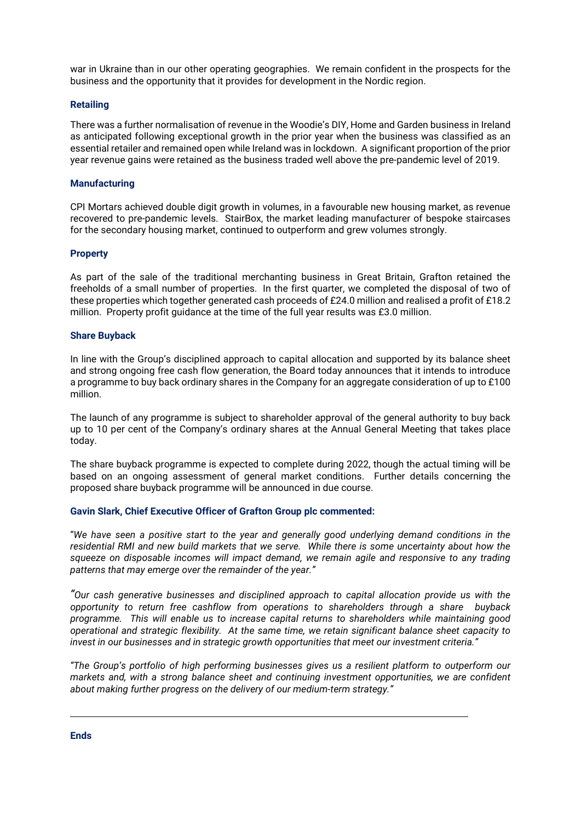war in Ukraine than in our other operating geographies. We remain confident in the prospects for the business and the opportunity that it provides for development in the Nordic region.

#### **Retailing**

There was a further normalisation of revenue in the Woodie's DIY, Home and Garden business in Ireland as anticipated following exceptional growth in the prior year when the business was classified as an essential retailer and remained open while Ireland was in lockdown. A significant proportion of the prior year revenue gains were retained as the business traded well above the pre-pandemic level of 2019.

#### **Manufacturing**

CPI Mortars achieved double digit growth in volumes, in a favourable new housing market, as revenue recovered to pre-pandemic levels. StairBox, the market leading manufacturer of bespoke staircases for the secondary housing market, continued to outperform and grew volumes strongly.

### **Property**

As part of the sale of the traditional merchanting business in Great Britain, Grafton retained the freeholds of a small number of properties. In the first quarter, we completed the disposal of two of these properties which together generated cash proceeds of £24.0 million and realised a profit of £18.2 million. Property profit guidance at the time of the full year results was £3.0 million.

#### **Share Buyback**

In line with the Group's disciplined approach to capital allocation and supported by its balance sheet and strong ongoing free cash flow generation, the Board today announces that it intends to introduce a programme to buy back ordinary shares in the Company for an aggregate consideration of up to £100 million.

The launch of any programme is subject to shareholder approval of the general authority to buy back up to 10 per cent of the Company's ordinary shares at the Annual General Meeting that takes place today.

The share buyback programme is expected to complete during 2022, though the actual timing will be based on an ongoing assessment of general market conditions. Further details concerning the proposed share buyback programme will be announced in due course.

#### **Gavin Slark, Chief Executive Officer of Grafton Group plc commented:**

"*We have seen a positive start to the year and generally good underlying demand conditions in the residential RMI and new build markets that we serve. While there is some uncertainty about how the squeeze on disposable incomes will impact demand, we remain agile and responsive to any trading patterns that may emerge over the remainder of the year."*

*"Our cash generative businesses and disciplined approach to capital allocation provide us with the opportunity to return free cashflow from operations to shareholders through a share buyback programme. This will enable us to increase capital returns to shareholders while maintaining good operational and strategic flexibility. At the same time, we retain significant balance sheet capacity to invest in our businesses and in strategic growth opportunities that meet our investment criteria."*

*"The Group's portfolio of high performing businesses gives us a resilient platform to outperform our markets and, with a strong balance sheet and continuing investment opportunities, we are confident about making further progress on the delivery of our medium-term strategy."*

**Ends**